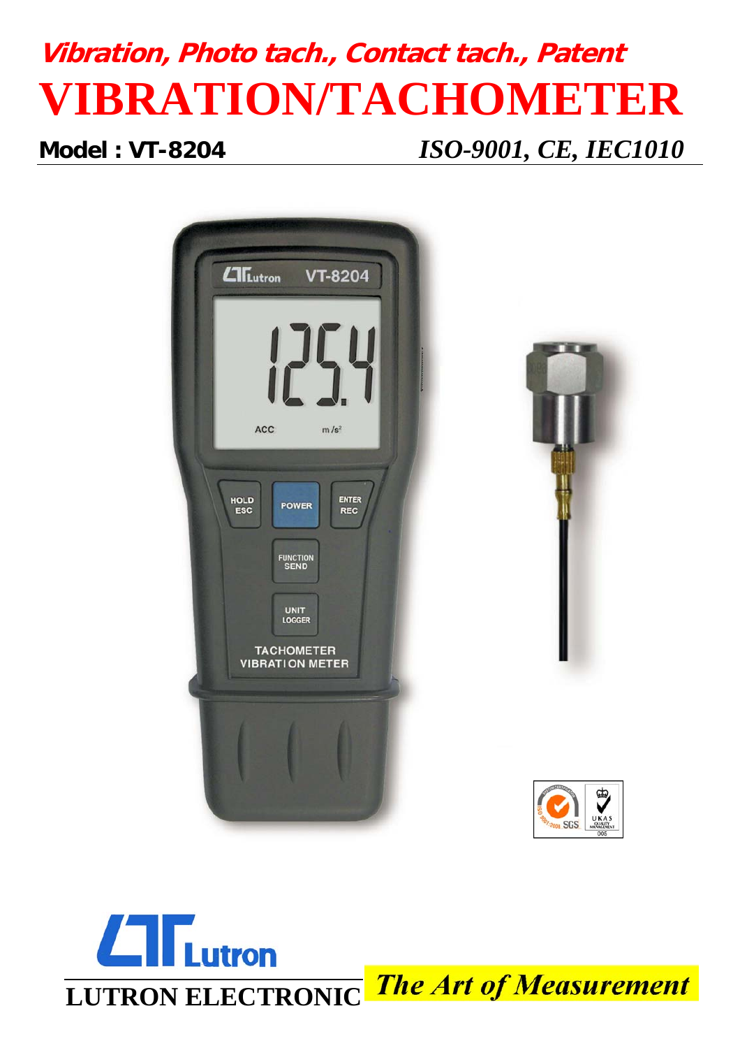# **Vibration, Photo tach., Contact tach., Patent VIBRATION/TACHOMETER**

## **Model : VT-8204** *ISO-9001, CE, IEC1010*